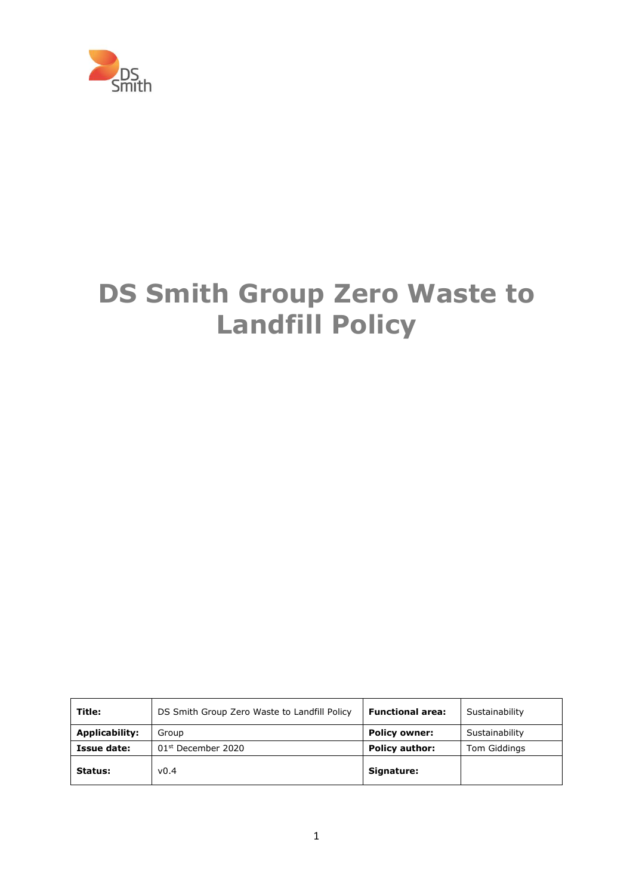

# **DS Smith Group Zero Waste to Landfill Policy**

| Title:                | DS Smith Group Zero Waste to Landfill Policy | <b>Functional area:</b> | Sustainability |
|-----------------------|----------------------------------------------|-------------------------|----------------|
| <b>Applicability:</b> | Group                                        | <b>Policy owner:</b>    | Sustainability |
| Issue date:           | $01st$ December 2020                         | <b>Policy author:</b>   | Tom Giddings   |
| Status:               | v0.4                                         | Signature:              |                |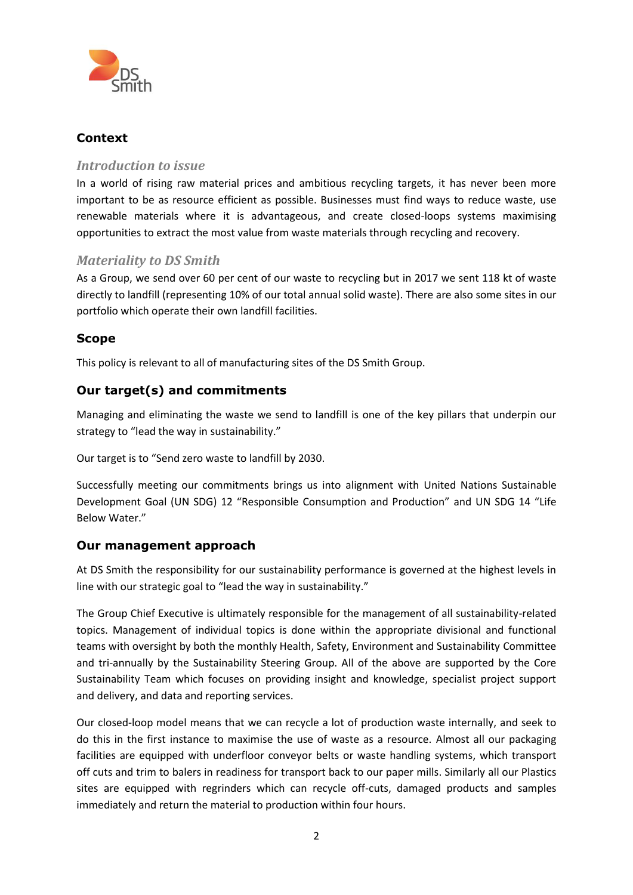

## **Context**

#### *Introduction to issue*

In a world of rising raw material prices and ambitious recycling targets, it has never been more important to be as resource efficient as possible. Businesses must find ways to reduce waste, use renewable materials where it is advantageous, and create closed-loops systems maximising opportunities to extract the most value from waste materials through recycling and recovery.

### *Materiality to DS Smith*

As a Group, we send over 60 per cent of our waste to recycling but in 2017 we sent 118 kt of waste directly to landfill (representing 10% of our total annual solid waste). There are also some sites in our portfolio which operate their own landfill facilities.

#### **Scope**

This policy is relevant to all of manufacturing sites of the DS Smith Group.

## **Our target(s) and commitments**

Managing and eliminating the waste we send to landfill is one of the key pillars that underpin our strategy to "lead the way in sustainability."

Our target is to "Send zero waste to landfill by 2030.

Successfully meeting our commitments brings us into alignment with United Nations Sustainable Development Goal (UN SDG) 12 "Responsible Consumption and Production" and UN SDG 14 "Life Below Water."

#### **Our management approach**

At DS Smith the responsibility for our sustainability performance is governed at the highest levels in line with our strategic goal to "lead the way in sustainability."

The Group Chief Executive is ultimately responsible for the management of all sustainability-related topics. Management of individual topics is done within the appropriate divisional and functional teams with oversight by both the monthly Health, Safety, Environment and Sustainability Committee and tri-annually by the Sustainability Steering Group. All of the above are supported by the Core Sustainability Team which focuses on providing insight and knowledge, specialist project support and delivery, and data and reporting services.

Our closed-loop model means that we can recycle a lot of production waste internally, and seek to do this in the first instance to maximise the use of waste as a resource. Almost all our packaging facilities are equipped with underfloor conveyor belts or waste handling systems, which transport off cuts and trim to balers in readiness for transport back to our paper mills. Similarly all our Plastics sites are equipped with regrinders which can recycle off-cuts, damaged products and samples immediately and return the material to production within four hours.